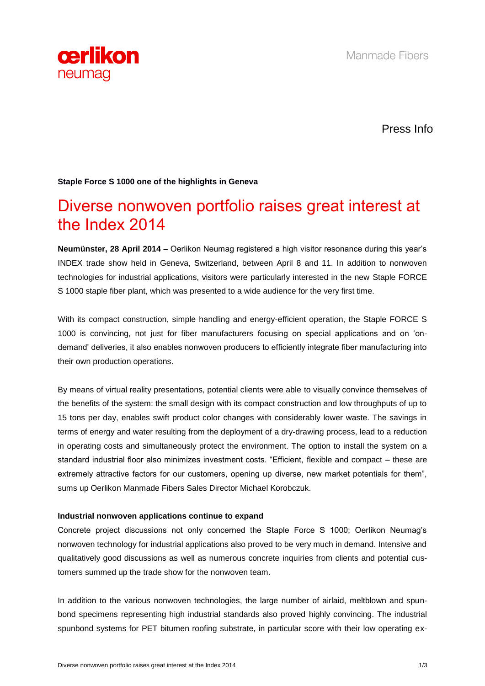

Press Info

## **Staple Force S 1000 one of the highlights in Geneva**

# Diverse nonwoven portfolio raises great interest at the Index 2014

**Neumünster, 28 April 2014** – Oerlikon Neumag registered a high visitor resonance during this year's INDEX trade show held in Geneva, Switzerland, between April 8 and 11. In addition to nonwoven technologies for industrial applications, visitors were particularly interested in the new Staple FORCE S 1000 staple fiber plant, which was presented to a wide audience for the very first time.

With its compact construction, simple handling and energy-efficient operation, the Staple FORCE S 1000 is convincing, not just for fiber manufacturers focusing on special applications and on 'ondemand' deliveries, it also enables nonwoven producers to efficiently integrate fiber manufacturing into their own production operations.

By means of virtual reality presentations, potential clients were able to visually convince themselves of the benefits of the system: the small design with its compact construction and low throughputs of up to 15 tons per day, enables swift product color changes with considerably lower waste. The savings in terms of energy and water resulting from the deployment of a dry-drawing process, lead to a reduction in operating costs and simultaneously protect the environment. The option to install the system on a standard industrial floor also minimizes investment costs. "Efficient, flexible and compact – these are extremely attractive factors for our customers, opening up diverse, new market potentials for them", sums up Oerlikon Manmade Fibers Sales Director Michael Korobczuk.

#### **Industrial nonwoven applications continue to expand**

Concrete project discussions not only concerned the Staple Force S 1000; Oerlikon Neumag's nonwoven technology for industrial applications also proved to be very much in demand. Intensive and qualitatively good discussions as well as numerous concrete inquiries from clients and potential customers summed up the trade show for the nonwoven team.

In addition to the various nonwoven technologies, the large number of airlaid, meltblown and spunbond specimens representing high industrial standards also proved highly convincing. The industrial spunbond systems for PET bitumen roofing substrate, in particular score with their low operating ex-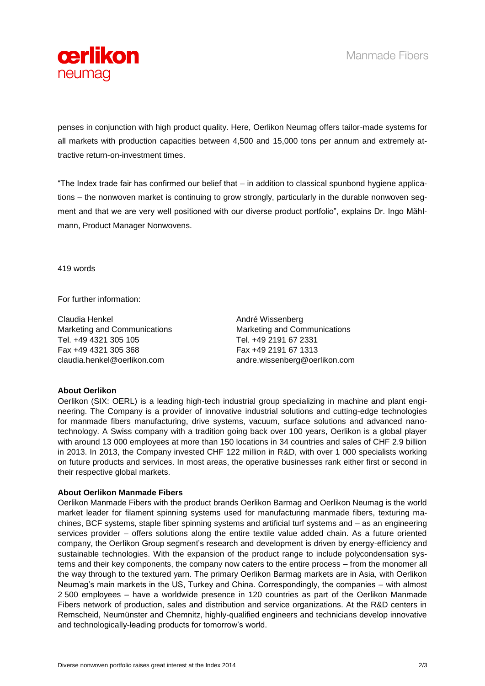

penses in conjunction with high product quality. Here, Oerlikon Neumag offers tailor-made systems for all markets with production capacities between 4,500 and 15,000 tons per annum and extremely attractive return-on-investment times.

"The Index trade fair has confirmed our belief that – in addition to classical spunbond hygiene applications – the nonwoven market is continuing to grow strongly, particularly in the durable nonwoven segment and that we are very well positioned with our diverse product portfolio", explains Dr. Ingo Mählmann, Product Manager Nonwovens.

419 words

For further information:

Claudia Henkel Marketing and Communications Tel. +49 4321 305 105 Fax +49 4321 305 368 claudia.henkel@oerlikon.com

André Wissenberg Marketing and Communications Tel. +49 2191 67 2331 Fax +49 2191 67 1313 andre.wissenberg@oerlikon.com

### **About Oerlikon**

Oerlikon (SIX: OERL) is a leading high-tech industrial group specializing in machine and plant engineering. The Company is a provider of innovative industrial solutions and cutting-edge technologies for manmade fibers manufacturing, drive systems, vacuum, surface solutions and advanced nanotechnology. A Swiss company with a tradition going back over 100 years, Oerlikon is a global player with around 13 000 employees at more than 150 locations in 34 countries and sales of CHF 2.9 billion in 2013. In 2013, the Company invested CHF 122 million in R&D, with over 1 000 specialists working on future products and services. In most areas, the operative businesses rank either first or second in their respective global markets.

### **About Oerlikon Manmade Fibers**

Oerlikon Manmade Fibers with the product brands Oerlikon Barmag and Oerlikon Neumag is the world market leader for filament spinning systems used for manufacturing manmade fibers, texturing machines, BCF systems, staple fiber spinning systems and artificial turf systems and – as an engineering services provider – offers solutions along the entire textile value added chain. As a future oriented company, the Oerlikon Group segment's research and development is driven by energy-efficiency and sustainable technologies. With the expansion of the product range to include polycondensation systems and their key components, the company now caters to the entire process – from the monomer all the way through to the textured yarn. The primary Oerlikon Barmag markets are in Asia, with Oerlikon Neumag's main markets in the US, Turkey and China. Correspondingly, the companies – with almost 2 500 employees – have a worldwide presence in 120 countries as part of the Oerlikon Manmade Fibers network of production, sales and distribution and service organizations. At the R&D centers in Remscheid, Neumünster and Chemnitz, highly-qualified engineers and technicians develop innovative and technologically-leading products for tomorrow's world.